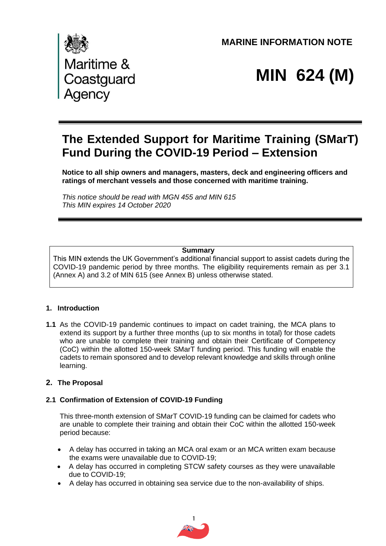**MARINE INFORMATION NOTE** 



# **MIN 624 (M)**

# **The Extended Support for Maritime Training (SMarT) Fund During the COVID-19 Period – Extension**

**Notice to all ship owners and managers, masters, deck and engineering officers and ratings of merchant vessels and those concerned with maritime training.**

*This notice should be read with MGN 455 and MIN 615 This MIN expires 14 October 2020*

#### **Summary**

This MIN extends the UK Government's additional financial support to assist cadets during the COVID-19 pandemic period by three months. The eligibility requirements remain as per 3.1 (Annex A) and 3.2 of MIN 615 (see Annex B) unless otherwise stated.

#### **1. Introduction**

**1.1** As the COVID-19 pandemic continues to impact on cadet training, the MCA plans to extend its support by a further three months (up to six months in total) for those cadets who are unable to complete their training and obtain their Certificate of Competency (CoC) within the allotted 150-week SMarT funding period. This funding will enable the cadets to remain sponsored and to develop relevant knowledge and skills through online learning.

#### **2. The Proposal**

#### **2.1 Confirmation of Extension of COVID-19 Funding**

This three-month extension of SMarT COVID-19 funding can be claimed for cadets who are unable to complete their training and obtain their CoC within the allotted 150-week period because:

- A delay has occurred in taking an MCA oral exam or an MCA written exam because the exams were unavailable due to COVID-19;
- A delay has occurred in completing STCW safety courses as they were unavailable due to COVID-19;
- A delay has occurred in obtaining sea service due to the non-availability of ships.

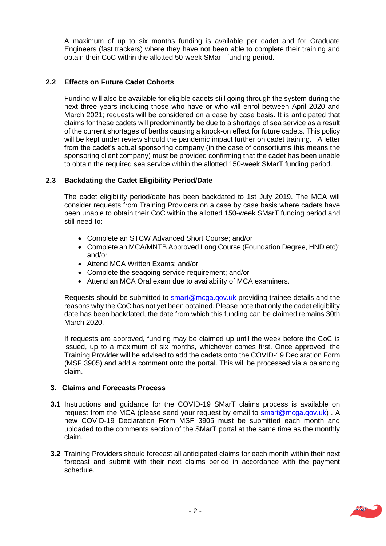A maximum of up to six months funding is available per cadet and for Graduate Engineers (fast trackers) where they have not been able to complete their training and obtain their CoC within the allotted 50-week SMarT funding period.

## **2.2 Effects on Future Cadet Cohorts**

Funding will also be available for eligible cadets still going through the system during the next three years including those who have or who will enrol between April 2020 and March 2021; requests will be considered on a case by case basis. It is anticipated that claims for these cadets will predominantly be due to a shortage of sea service as a result of the current shortages of berths causing a knock-on effect for future cadets. This policy will be kept under review should the pandemic impact further on cadet training. A letter from the cadet's actual sponsoring company (in the case of consortiums this means the sponsoring client company) must be provided confirming that the cadet has been unable to obtain the required sea service within the allotted 150-week SMarT funding period.

#### **2.3 Backdating the Cadet Eligibility Period/Date**

The cadet eligibility period/date has been backdated to 1st July 2019. The MCA will consider requests from Training Providers on a case by case basis where cadets have been unable to obtain their CoC within the allotted 150-week SMarT funding period and still need to:

- Complete an STCW Advanced Short Course; and/or
- Complete an MCA/MNTB Approved Long Course (Foundation Degree, HND etc); and/or
- Attend MCA Written Exams; and/or
- Complete the seagoing service requirement; and/or
- Attend an MCA Oral exam due to availability of MCA examiners.

Requests should be submitted to **smart@mcga.gov.uk** providing trainee details and the reasons why the CoC has not yet been obtained. Please note that only the cadet eligibility date has been backdated, the date from which this funding can be claimed remains 30th March 2020.

If requests are approved, funding may be claimed up until the week before the CoC is issued, up to a maximum of six months, whichever comes first. Once approved, the Training Provider will be advised to add the cadets onto the COVID-19 Declaration Form (MSF 3905) and add a comment onto the portal. This will be processed via a balancing claim.

#### **3. Claims and Forecasts Process**

- **3.1** Instructions and guidance for the COVID-19 SMarT claims process is available on request from the MCA (please send your request by email to [smart@mcga.gov.uk\)](mailto:smart@mcga.gov.uk). A new COVID-19 Declaration Form MSF 3905 must be submitted each month and uploaded to the comments section of the SMarT portal at the same time as the monthly claim.
- **3.2** Training Providers should forecast all anticipated claims for each month within their next forecast and submit with their next claims period in accordance with the payment schedule.

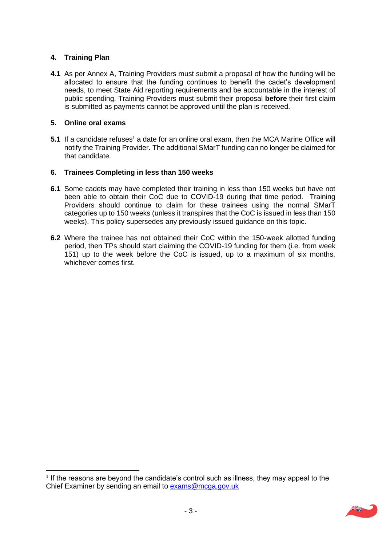# **4. Training Plan**

**4.1** As per Annex A, Training Providers must submit a proposal of how the funding will be allocated to ensure that the funding continues to benefit the cadet's development needs, to meet State Aid reporting requirements and be accountable in the interest of public spending. Training Providers must submit their proposal **before** their first claim is submitted as payments cannot be approved until the plan is received.

#### **5. Online oral exams**

**5.1** If a candidate refuses<sup>1</sup> a date for an online oral exam, then the MCA Marine Office will notify the Training Provider. The additional SMarT funding can no longer be claimed for that candidate.

#### **6. Trainees Completing in less than 150 weeks**

- **6.1** Some cadets may have completed their training in less than 150 weeks but have not been able to obtain their CoC due to COVID-19 during that time period. Training Providers should continue to claim for these trainees using the normal SMarT categories up to 150 weeks (unless it transpires that the CoC is issued in less than 150 weeks). This policy supersedes any previously issued guidance on this topic.
- **6.2** Where the trainee has not obtained their CoC within the 150-week allotted funding period, then TPs should start claiming the COVID-19 funding for them (i.e. from week 151) up to the week before the CoC is issued, up to a maximum of six months, whichever comes first.

 $<sup>1</sup>$  If the reasons are beyond the candidate's control such as illness, they may appeal to the</sup> Chief Examiner by sending an email to [exams@mcga.gov.uk](mailto:exams@mcga.gov.uk)

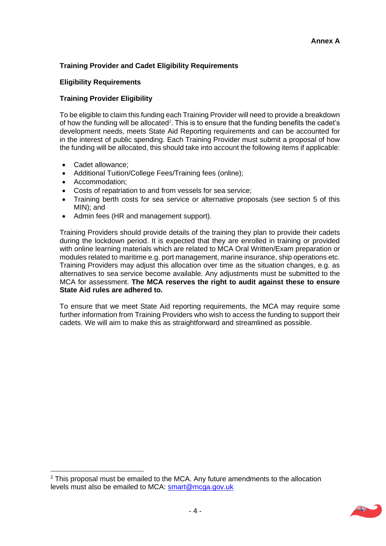# **Training Provider and Cadet Eligibility Requirements**

#### **Eligibility Requirements**

#### **Training Provider Eligibility**

To be eligible to claim this funding each Training Provider will need to provide a breakdown of how the funding will be allocated<sup>2</sup>. This is to ensure that the funding benefits the cadet's development needs, meets State Aid Reporting requirements and can be accounted for in the interest of public spending. Each Training Provider must submit a proposal of how the funding will be allocated, this should take into account the following items if applicable:

- Cadet allowance;
- Additional Tuition/College Fees/Training fees (online);
- Accommodation;
- Costs of repatriation to and from vessels for sea service;
- Training berth costs for sea service or alternative proposals (see section 5 of this MIN); and
- Admin fees (HR and management support).

Training Providers should provide details of the training they plan to provide their cadets during the lockdown period. It is expected that they are enrolled in training or provided with online learning materials which are related to MCA Oral Written/Exam preparation or modules related to maritime e.g. port management, marine insurance, ship operations etc. Training Providers may adjust this allocation over time as the situation changes, e.g. as alternatives to sea service become available. Any adjustments must be submitted to the MCA for assessment. **The MCA reserves the right to audit against these to ensure State Aid rules are adhered to.**

To ensure that we meet State Aid reporting requirements, the MCA may require some further information from Training Providers who wish to access the funding to support their cadets. We will aim to make this as straightforward and streamlined as possible.

 $2$  This proposal must be emailed to the MCA. Any future amendments to the allocation levels must also be emailed to MCA: [smart@mcga.gov.uk](mailto:smart@mcga.gov.uk)

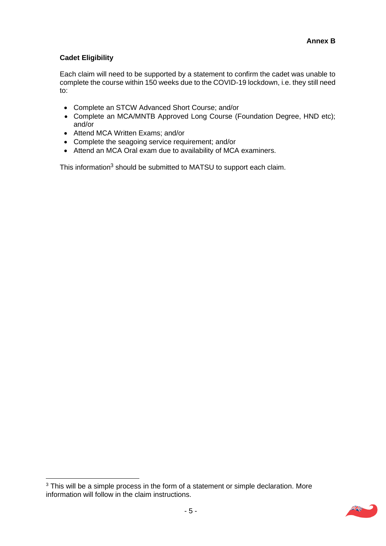## **Cadet Eligibility**

Each claim will need to be supported by a statement to confirm the cadet was unable to complete the course within 150 weeks due to the COVID-19 lockdown, i.e. they still need to:

- Complete an STCW Advanced Short Course; and/or
- Complete an MCA/MNTB Approved Long Course (Foundation Degree, HND etc); and/or
- Attend MCA Written Exams; and/or
- Complete the seagoing service requirement; and/or
- Attend an MCA Oral exam due to availability of MCA examiners.

This information<sup>3</sup> should be submitted to MATSU to support each claim.

<sup>&</sup>lt;sup>3</sup> This will be a simple process in the form of a statement or simple declaration. More information will follow in the claim instructions.